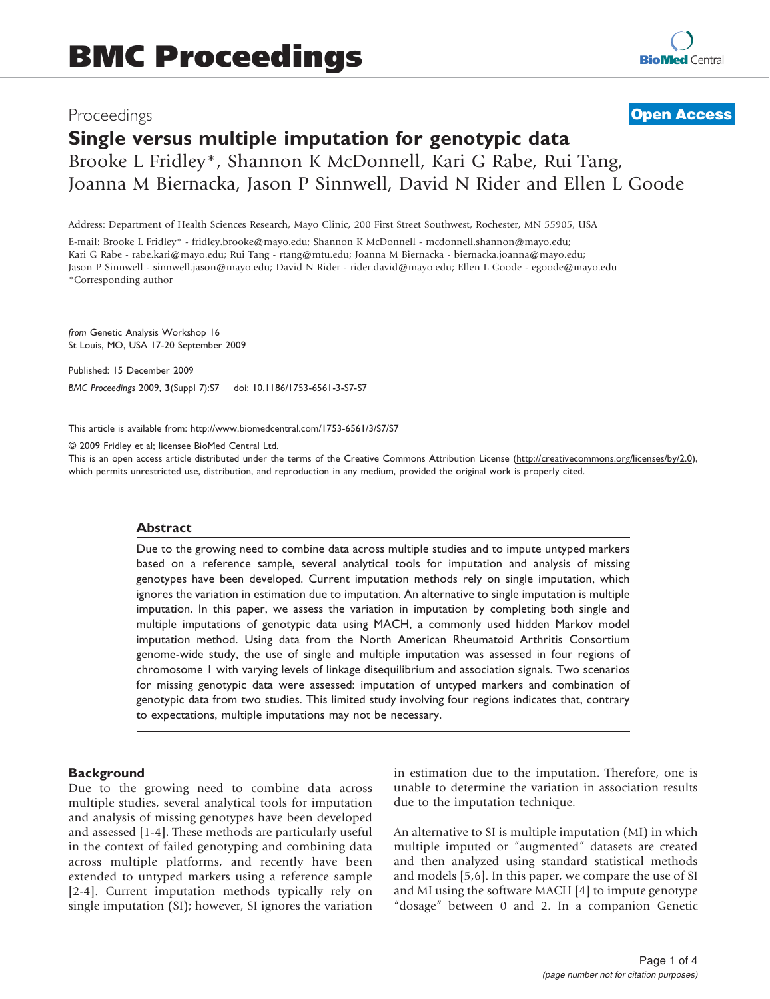# Proceedings

# **[Open Access](http://www.biomedcentral.com/info/about/charter/)**

# Single versus multiple imputation for genotypic data Brooke L Fridley\*, Shannon K McDonnell, Kari G Rabe, Rui Tang, Joanna M Biernacka, Jason P Sinnwell, David N Rider and Ellen L Goode

Address: Department of Health Sciences Research, Mayo Clinic, 200 First Street Southwest, Rochester, MN 55905, USA

E-mail: Brooke L Fridley\* - [fridley.brooke@mayo.edu;](mailto:fridley.brooke@mayo.edu) Shannon K McDonnell - [mcdonnell.shannon@mayo.edu](mailto:mcdonnell.shannon@mayo.edu); Kari G Rabe - [rabe.kari@mayo.edu;](mailto:rabe.kari@mayo.edu) Rui Tang - [rtang@mtu.edu;](mailto:rtang@mtu.edu) Joanna M Biernacka - [biernacka.joanna@mayo.edu](mailto:biernacka.joanna@mayo.edu); Jason P Sinnwell - [sinnwell.jason@mayo.edu](mailto:sinnwell.jason@mayo.edu); David N Rider - [rider.david@mayo.edu](mailto:rider.david@mayo.edu); Ellen L Goode - [egoode@mayo.edu](mailto:egoode@mayo.edu) \*Corresponding author

from Genetic Analysis Workshop 16 St Louis, MO, USA 17-20 September 2009

Published: 15 December 2009

BMC Proceedings 2009, 3(Suppl 7):S7 doi: 10.1186/1753-6561-3-S7-S7

This article is available from: http://www.biomedcentral.com/1753-6561/3/S7/S7

© 2009 Fridley et al; licensee BioMed Central Ltd.

This is an open access article distributed under the terms of the Creative Commons Attribution License [\(http://creativecommons.org/licenses/by/2.0\)](http://creativecommons.org/licenses/by/2.0), which permits unrestricted use, distribution, and reproduction in any medium, provided the original work is properly cited.

#### Abstract

Due to the growing need to combine data across multiple studies and to impute untyped markers based on a reference sample, several analytical tools for imputation and analysis of missing genotypes have been developed. Current imputation methods rely on single imputation, which ignores the variation in estimation due to imputation. An alternative to single imputation is multiple imputation. In this paper, we assess the variation in imputation by completing both single and multiple imputations of genotypic data using MACH, a commonly used hidden Markov model imputation method. Using data from the North American Rheumatoid Arthritis Consortium genome-wide study, the use of single and multiple imputation was assessed in four regions of chromosome 1 with varying levels of linkage disequilibrium and association signals. Two scenarios for missing genotypic data were assessed: imputation of untyped markers and combination of genotypic data from two studies. This limited study involving four regions indicates that, contrary to expectations, multiple imputations may not be necessary.

#### **Background**

Due to the growing need to combine data across multiple studies, several analytical tools for imputation and analysis of missing genotypes have been developed and assessed [[1](#page-3-0)-[4\]](#page-3-0). These methods are particularly useful in the context of failed genotyping and combining data across multiple platforms, and recently have been extended to untyped markers using a reference sample [[2-4\]](#page-3-0). Current imputation methods typically rely on single imputation (SI); however, SI ignores the variation in estimation due to the imputation. Therefore, one is unable to determine the variation in association results due to the imputation technique.

An alternative to SI is multiple imputation (MI) in which multiple imputed or "augmented" datasets are created and then analyzed using standard statistical methods and models [[5](#page-3-0),[6](#page-3-0)]. In this paper, we compare the use of SI and MI using the software MACH [\[4\]](#page-3-0) to impute genotype "dosage" between 0 and 2. In a companion Genetic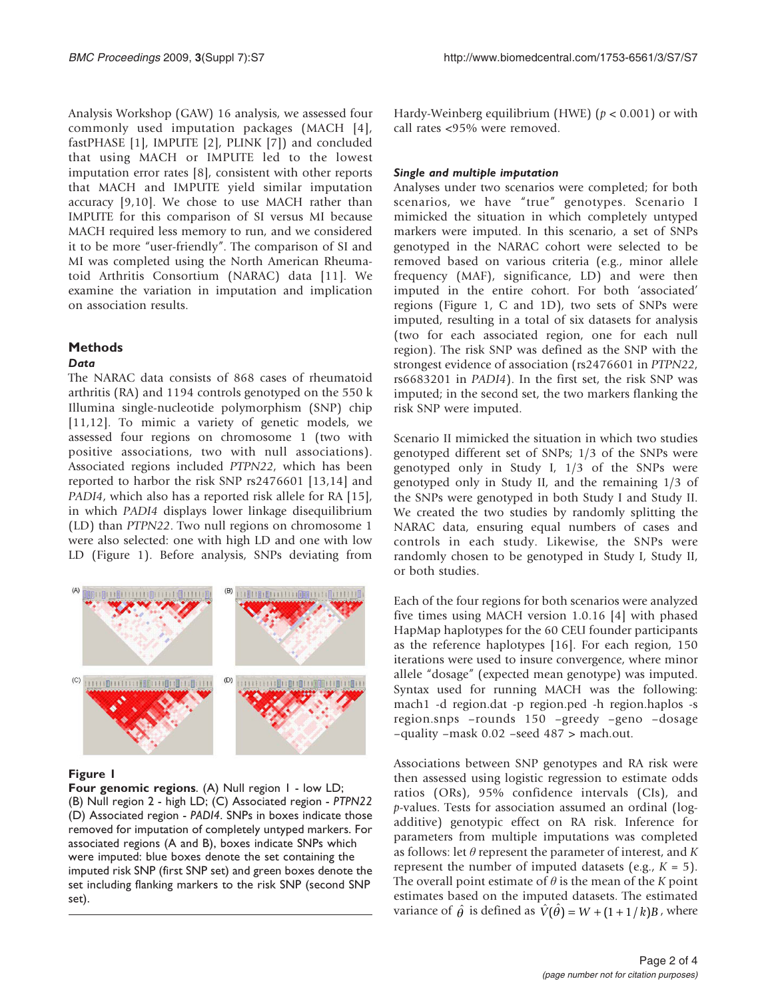Analysis Workshop (GAW) 16 analysis, we assessed four commonly used imputation packages (MACH [\[4](#page-3-0)], fastPHASE [\[1\]](#page-3-0), IMPUTE [\[2\]](#page-3-0), PLINK [\[7\]](#page-3-0)) and concluded that using MACH or IMPUTE led to the lowest imputation error rates [\[8\]](#page-3-0), consistent with other reports that MACH and IMPUTE yield similar imputation accuracy [[9](#page-3-0),[10\]](#page-3-0). We chose to use MACH rather than IMPUTE for this comparison of SI versus MI because MACH required less memory to run, and we considered it to be more "user-friendly". The comparison of SI and MI was completed using the North American Rheumatoid Arthritis Consortium (NARAC) data [[11\]](#page-3-0). We examine the variation in imputation and implication on association results.

## **Methods**

## **Data**

The NARAC data consists of 868 cases of rheumatoid arthritis (RA) and 1194 controls genotyped on the 550 k Illumina single-nucleotide polymorphism (SNP) chip [[11,12](#page-3-0)]. To mimic a variety of genetic models, we assessed four regions on chromosome 1 (two with positive associations, two with null associations). Associated regions included PTPN22, which has been reported to harbor the risk SNP rs2476601 [[13,14](#page-3-0)] and PADI4, which also has a reported risk allele for RA [\[15](#page-3-0)], in which PADI4 displays lower linkage disequilibrium (LD) than PTPN22. Two null regions on chromosome 1 were also selected: one with high LD and one with low LD (Figure 1). Before analysis, SNPs deviating from



## Figure 1

Four genomic regions. (A) Null region 1 - low LD; (B) Null region 2 - high LD; (C) Associated region - PTPN22 (D) Associated region - PADI4. SNPs in boxes indicate those removed for imputation of completely untyped markers. For associated regions (A and B), boxes indicate SNPs which were imputed: blue boxes denote the set containing the imputed risk SNP (first SNP set) and green boxes denote the set including flanking markers to the risk SNP (second SNP set).

Hardy-Weinberg equilibrium (HWE)  $(p < 0.001)$  or with call rates <95% were removed.

## Single and multiple imputation

Analyses under two scenarios were completed; for both scenarios, we have "true" genotypes. Scenario I mimicked the situation in which completely untyped markers were imputed. In this scenario, a set of SNPs genotyped in the NARAC cohort were selected to be removed based on various criteria (e.g., minor allele frequency (MAF), significance, LD) and were then imputed in the entire cohort. For both 'associated' regions (Figure 1, C and 1D), two sets of SNPs were imputed, resulting in a total of six datasets for analysis (two for each associated region, one for each null region). The risk SNP was defined as the SNP with the strongest evidence of association (rs2476601 in PTPN22, rs6683201 in PADI4). In the first set, the risk SNP was imputed; in the second set, the two markers flanking the risk SNP were imputed.

Scenario II mimicked the situation in which two studies genotyped different set of SNPs; 1/3 of the SNPs were genotyped only in Study I, 1/3 of the SNPs were genotyped only in Study II, and the remaining 1/3 of the SNPs were genotyped in both Study I and Study II. We created the two studies by randomly splitting the NARAC data, ensuring equal numbers of cases and controls in each study. Likewise, the SNPs were randomly chosen to be genotyped in Study I, Study II, or both studies.

Each of the four regions for both scenarios were analyzed five times using MACH version 1.0.16 [\[4\]](#page-3-0) with phased HapMap haplotypes for the 60 CEU founder participants as the reference haplotypes [[16\]](#page-3-0). For each region, 150 iterations were used to insure convergence, where minor allele "dosage" (expected mean genotype) was imputed. Syntax used for running MACH was the following: mach1 -d region.dat -p region.ped -h region.haplos -s region.snps –rounds 150 –greedy –geno –dosage –quality –mask 0.02 –seed 487 > mach.out.

Associations between SNP genotypes and RA risk were then assessed using logistic regression to estimate odds ratios (ORs), 95% confidence intervals (CIs), and p-values. Tests for association assumed an ordinal (logadditive) genotypic effect on RA risk. Inference for parameters from multiple imputations was completed as follows: let  $\theta$  represent the parameter of interest, and K represent the number of imputed datasets (e.g.,  $K = 5$ ). The overall point estimate of  $\theta$  is the mean of the K point estimates based on the imputed datasets. The estimated variance of  $\hat{\theta}$  is defined as  $\hat{V}(\hat{\theta}) = W + (1 + 1/k)B$ , where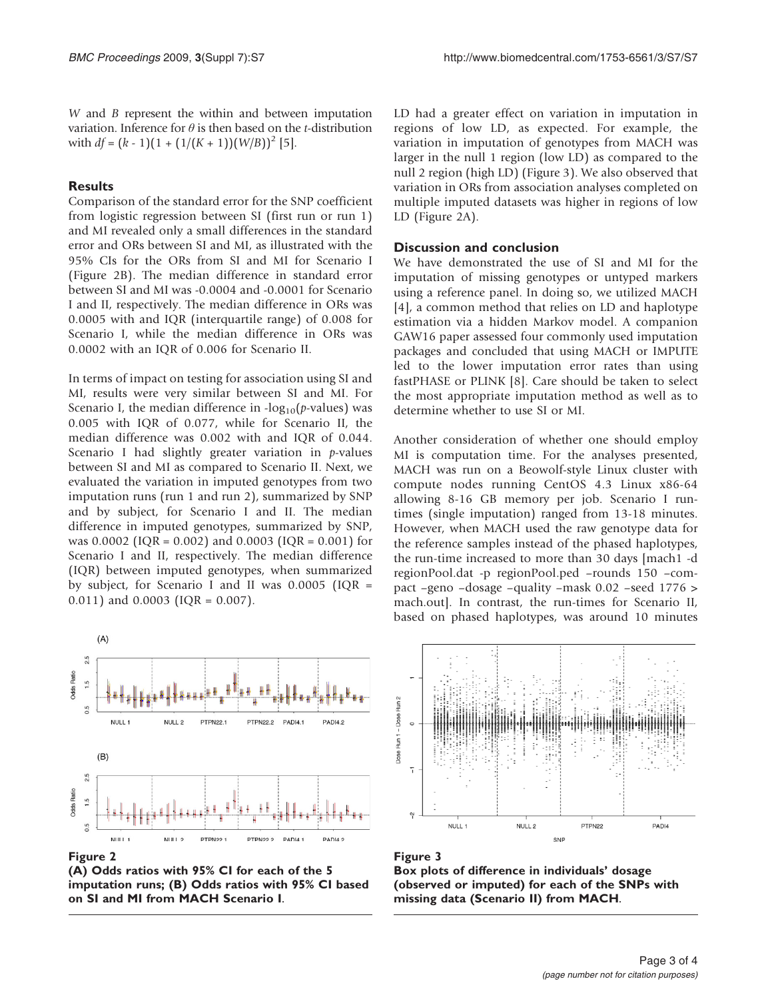W and B represent the within and between imputation variation. Inference for  $\theta$  is then based on the *t*-distribution with  $df = (k - 1)(1 + (1/(K + 1))(W/B))^2$  [[5\]](#page-3-0).

## **Results**

Comparison of the standard error for the SNP coefficient from logistic regression between SI (first run or run 1) and MI revealed only a small differences in the standard error and ORs between SI and MI, as illustrated with the 95% CIs for the ORs from SI and MI for Scenario I (Figure 2B). The median difference in standard error between SI and MI was -0.0004 and -0.0001 for Scenario I and II, respectively. The median difference in ORs was 0.0005 with and IQR (interquartile range) of 0.008 for Scenario I, while the median difference in ORs was 0.0002 with an IQR of 0.006 for Scenario II.

In terms of impact on testing for association using SI and MI, results were very similar between SI and MI. For Scenario I, the median difference in  $-log_{10}(p\nu$ values) was 0.005 with IQR of 0.077, while for Scenario II, the median difference was 0.002 with and IQR of 0.044. Scenario I had slightly greater variation in p-values between SI and MI as compared to Scenario II. Next, we evaluated the variation in imputed genotypes from two imputation runs (run 1 and run 2), summarized by SNP and by subject, for Scenario I and II. The median difference in imputed genotypes, summarized by SNP, was 0.0002 (IQR = 0.002) and 0.0003 (IQR = 0.001) for Scenario I and II, respectively. The median difference (IQR) between imputed genotypes, when summarized by subject, for Scenario I and II was 0.0005 (IQR = 0.011) and 0.0003 (IQR = 0.007).



Figure 2

(A) Odds ratios with 95% CI for each of the 5 imputation runs; (B) Odds ratios with 95% CI based on SI and MI from MACH Scenario I.

LD had a greater effect on variation in imputation in regions of low LD, as expected. For example, the variation in imputation of genotypes from MACH was larger in the null 1 region (low LD) as compared to the null 2 region (high LD) (Figure 3). We also observed that variation in ORs from association analyses completed on multiple imputed datasets was higher in regions of low LD (Figure 2A).

#### Discussion and conclusion

We have demonstrated the use of SI and MI for the imputation of missing genotypes or untyped markers using a reference panel. In doing so, we utilized MACH [[4](#page-3-0)], a common method that relies on LD and haplotype estimation via a hidden Markov model. A companion GAW16 paper assessed four commonly used imputation packages and concluded that using MACH or IMPUTE led to the lower imputation error rates than using fastPHASE or PLINK [\[8\]](#page-3-0). Care should be taken to select the most appropriate imputation method as well as to determine whether to use SI or MI.

Another consideration of whether one should employ MI is computation time. For the analyses presented, MACH was run on a Beowolf-style Linux cluster with compute nodes running CentOS 4.3 Linux x86-64 allowing 8-16 GB memory per job. Scenario I runtimes (single imputation) ranged from 13-18 minutes. However, when MACH used the raw genotype data for the reference samples instead of the phased haplotypes, the run-time increased to more than 30 days [mach1 -d regionPool.dat -p regionPool.ped –rounds 150 –compact –geno –dosage –quality –mask 0.02 –seed 1776 > mach.out]. In contrast, the run-times for Scenario II, based on phased haplotypes, was around 10 minutes



Figure 3 Box plots of difference in individuals' dosage (observed or imputed) for each of the SNPs with missing data (Scenario II) from MACH.